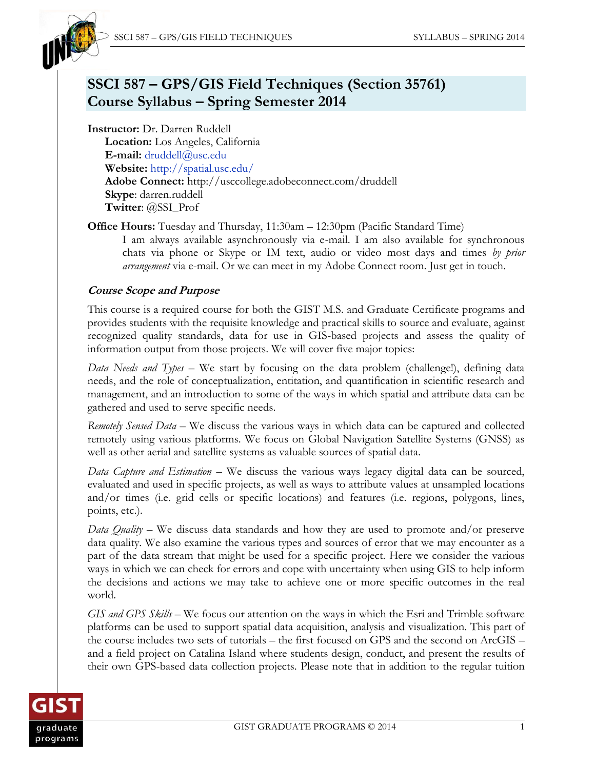

# **SSCI 587 – GPS/GIS Field Techniques (Section 35761) Course Syllabus – Spring Semester 2014**

**Instructor:** Dr. Darren Ruddell **Location:** Los Angeles, California **E-mail:** [druddell@usc.edu](mailto:druddell@usc.edu) **Website:** <http://spatial.usc.edu/> **Adobe Connect:** http://usccollege.adobeconnect.com/druddell **Skype**: darren.ruddell **Twitter**: @SSI\_Prof

**Office Hours:** Tuesday and Thursday, 11:30am – 12:30pm (Pacific Standard Time) I am always available asynchronously via e-mail. I am also available for synchronous chats via phone or Skype or IM text, audio or video most days and times *by prior arrangement* via e-mail. Or we can meet in my Adobe Connect room. Just get in touch.

# **Course Scope and Purpose**

This course is a required course for both the GIST M.S. and Graduate Certificate programs and provides students with the requisite knowledge and practical skills to source and evaluate, against recognized quality standards, data for use in GIS-based projects and assess the quality of information output from those projects. We will cover five major topics:

*Data Needs and Types* – We start by focusing on the data problem (challenge!), defining data needs, and the role of conceptualization, entitation, and quantification in scientific research and management, and an introduction to some of the ways in which spatial and attribute data can be gathered and used to serve specific needs.

*Remotely Sensed Data* – We discuss the various ways in which data can be captured and collected remotely using various platforms. We focus on Global Navigation Satellite Systems (GNSS) as well as other aerial and satellite systems as valuable sources of spatial data.

*Data Capture and Estimation* – We discuss the various ways legacy digital data can be sourced, evaluated and used in specific projects, as well as ways to attribute values at unsampled locations and/or times (i.e. grid cells or specific locations) and features (i.e. regions, polygons, lines, points, etc.).

*Data Quality* – We discuss data standards and how they are used to promote and/or preserve data quality. We also examine the various types and sources of error that we may encounter as a part of the data stream that might be used for a specific project. Here we consider the various ways in which we can check for errors and cope with uncertainty when using GIS to help inform the decisions and actions we may take to achieve one or more specific outcomes in the real world.

*GIS and GPS Skills* – We focus our attention on the ways in which the Esri and Trimble software platforms can be used to support spatial data acquisition, analysis and visualization. This part of the course includes two sets of tutorials – the first focused on GPS and the second on ArcGIS – and a field project on Catalina Island where students design, conduct, and present the results of their own GPS-based data collection projects. Please note that in addition to the regular tuition

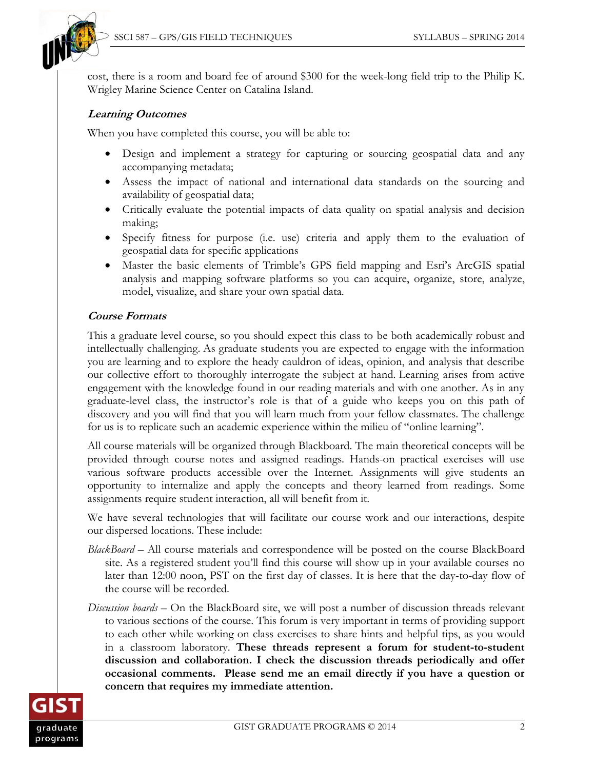

cost, there is a room and board fee of around \$300 for the week-long field trip to the Philip K. Wrigley Marine Science Center on Catalina Island.

# **Learning Outcomes**

When you have completed this course, you will be able to:

- Design and implement a strategy for capturing or sourcing geospatial data and any accompanying metadata;
- Assess the impact of national and international data standards on the sourcing and availability of geospatial data;
- Critically evaluate the potential impacts of data quality on spatial analysis and decision making;
- Specify fitness for purpose (i.e. use) criteria and apply them to the evaluation of geospatial data for specific applications
- Master the basic elements of Trimble's GPS field mapping and Esri's ArcGIS spatial analysis and mapping software platforms so you can acquire, organize, store, analyze, model, visualize, and share your own spatial data.

### **Course Formats**

This a graduate level course, so you should expect this class to be both academically robust and intellectually challenging. As graduate students you are expected to engage with the information you are learning and to explore the heady cauldron of ideas, opinion, and analysis that describe our collective effort to thoroughly interrogate the subject at hand. Learning arises from active engagement with the knowledge found in our reading materials and with one another. As in any graduate-level class, the instructor's role is that of a guide who keeps you on this path of discovery and you will find that you will learn much from your fellow classmates. The challenge for us is to replicate such an academic experience within the milieu of "online learning".

All course materials will be organized through Blackboard. The main theoretical concepts will be provided through course notes and assigned readings. Hands-on practical exercises will use various software products accessible over the Internet. Assignments will give students an opportunity to internalize and apply the concepts and theory learned from readings. Some assignments require student interaction, all will benefit from it.

We have several technologies that will facilitate our course work and our interactions, despite our dispersed locations. These include:

- *BlackBoard* All course materials and correspondence will be posted on the course BlackBoard site. As a registered student you'll find this course will show up in your available courses no later than 12:00 noon, PST on the first day of classes. It is here that the day-to-day flow of the course will be recorded.
- *Discussion boards* On the BlackBoard site, we will post a number of discussion threads relevant to various sections of the course. This forum is very important in terms of providing support to each other while working on class exercises to share hints and helpful tips, as you would in a classroom laboratory. **These threads represent a forum for student-to-student discussion and collaboration. I check the discussion threads periodically and offer occasional comments. Please send me an email directly if you have a question or concern that requires my immediate attention.**

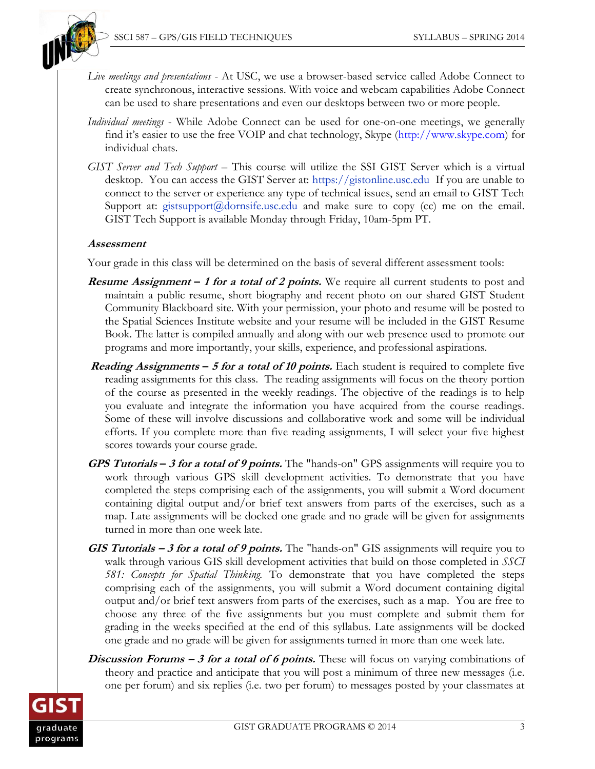

- *Live meetings and presentations* At USC, we use a browser-based service called Adobe Connect to create synchronous, interactive sessions. With voice and webcam capabilities Adobe Connect can be used to share presentations and even our desktops between two or more people.
- *Individual meetings* While Adobe Connect can be used for one-on-one meetings, we generally find it's easier to use the free VOIP and chat technology, Skype (http:/[/www.skype.com\)](http://www.skype.com/) for individual chats.
- *GIST Server and Tech Support*  This course will utilize the SSI GIST Server which is a virtual desktop. You can access the GIST Server at: [https://gistonline.usc.edu](https://gistonline.usc.edu/) If you are unable to connect to the server or experience any type of technical issues, send an email to GIST Tech Support at: [gistsupport@dornsife.usc.edu](mailto:gistsupport@dornsife.usc.edu) and make sure to copy (cc) me on the email. GIST Tech Support is available Monday through Friday, 10am-5pm PT.

#### **Assessment**

Your grade in this class will be determined on the basis of several different assessment tools:

- **Resume Assignment – <sup>1</sup> for a total of 2 points.** We require all current students to post and maintain a public resume, short biography and recent photo on our shared GIST Student Community Blackboard site. With your permission, your photo and resume will be posted to the Spatial Sciences Institute website and your resume will be included in the GIST Resume Book. The latter is compiled annually and along with our web presence used to promote our programs and more importantly, your skills, experience, and professional aspirations.
- **Reading Assignments – <sup>5</sup> for a total of 10 points.** Each student is required to complete five reading assignments for this class. The reading assignments will focus on the theory portion of the course as presented in the weekly readings. The objective of the readings is to help you evaluate and integrate the information you have acquired from the course readings. Some of these will involve discussions and collaborative work and some will be individual efforts. If you complete more than five reading assignments, I will select your five highest scores towards your course grade.
- **GPS Tutorials – 3 for a total of 9 points.** The "hands-on" GPS assignments will require you to work through various GPS skill development activities. To demonstrate that you have completed the steps comprising each of the assignments, you will submit a Word document containing digital output and/or brief text answers from parts of the exercises, such as a map. Late assignments will be docked one grade and no grade will be given for assignments turned in more than one week late.
- **GIS Tutorials – <sup>3</sup> for a total of 9 points.** The "hands-on" GIS assignments will require you to walk through various GIS skill development activities that build on those completed in *SSCI 581: Concepts for Spatial Thinking.* To demonstrate that you have completed the steps comprising each of the assignments, you will submit a Word document containing digital output and/or brief text answers from parts of the exercises, such as a map. You are free to choose any three of the five assignments but you must complete and submit them for grading in the weeks specified at the end of this syllabus. Late assignments will be docked one grade and no grade will be given for assignments turned in more than one week late.
- **Discussion Forums 3 for a total of 6 points.** These will focus on varying combinations of theory and practice and anticipate that you will post a minimum of three new messages (i.e. one per forum) and six replies (i.e. two per forum) to messages posted by your classmates at

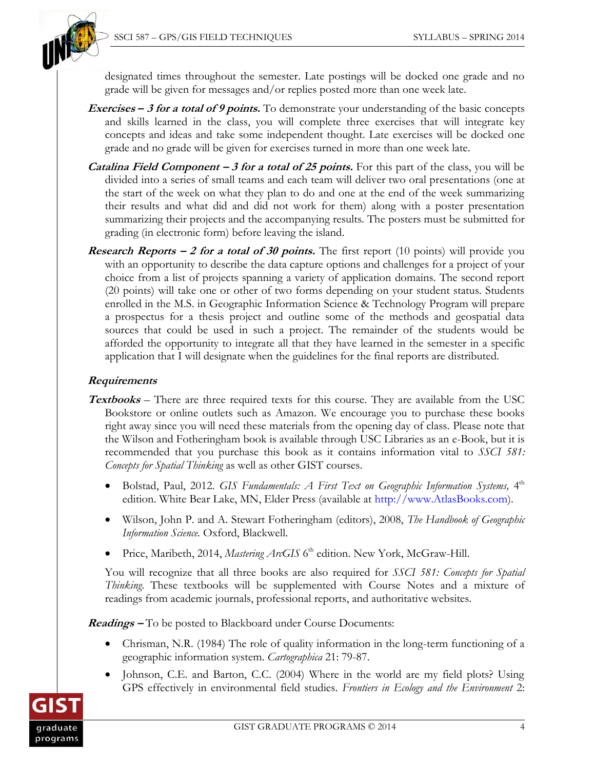

designated times throughout the semester. Late postings will be docked one grade and no grade will be given for messages and/or replies posted more than one week late.

- **Exercises – 3 for a total of 9 points.** To demonstrate your understanding of the basic concepts and skills learned in the class, you will complete three exercises that will integrate key concepts and ideas and take some independent thought. Late exercises will be docked one grade and no grade will be given for exercises turned in more than one week late.
- **Catalina Field Component – 3 for a total of 25 points.** For this part of the class, you will be divided into a series of small teams and each team will deliver two oral presentations (one at the start of the week on what they plan to do and one at the end of the week summarizing their results and what did and did not work for them) along with a poster presentation summarizing their projects and the accompanying results. The posters must be submitted for grading (in electronic form) before leaving the island.
- **Research Reports** 2 for a total of 30 points. The first report (10 points) will provide you with an opportunity to describe the data capture options and challenges for a project of your choice from a list of projects spanning a variety of application domains. The second report (20 points) will take one or other of two forms depending on your student status. Students enrolled in the M.S. in Geographic Information Science & Technology Program will prepare a prospectus for a thesis project and outline some of the methods and geospatial data sources that could be used in such a project. The remainder of the students would be afforded the opportunity to integrate all that they have learned in the semester in a specific application that I will designate when the guidelines for the final reports are distributed.

# **Requirements**

- **Textbooks** *–* There are three required texts for this course. They are available from the USC Bookstore or online outlets such as Amazon. We encourage you to purchase these books right away since you will need these materials from the opening day of class. Please note that the Wilson and Fotheringham book is available through USC Libraries as an e-Book, but it is recommended that you purchase this book as it contains information vital to *SSCI 581: Concepts for Spatial Thinking* as well as other GIST courses.
	- Bolstad, Paul, 2012. *GIS Fundamentals: A First Text on Geographic Information Systems*, 4<sup>th</sup> edition. White Bear Lake, MN, Elder Press (available at http:/[/www.AtlasBooks.com\)](http://www.atlasbooks.com/).
	- Wilson, John P. and A. Stewart Fotheringham (editors), 2008, *The Handbook of Geographic Information Science.* Oxford, Blackwell.
	- Price, Maribeth, 2014, Mastering ArcGIS 6<sup>th</sup> edition. New York, McGraw-Hill.

You will recognize that all three books are also required for *SSCI 581: Concepts for Spatial Thinking*. These textbooks will be supplemented with Course Notes and a mixture of readings from academic journals, professional reports, and authoritative websites.

**Readings –** To be posted to Blackboard under Course Documents:

- Chrisman, N.R. (1984) The role of quality information in the long-term functioning of a geographic information system. *Cartographica* 21: 79-87.
- Johnson, C.E. and Barton, C.C. (2004) Where in the world are my field plots? Using GPS effectively in environmental field studies. *Frontiers in Ecology and the Environment* 2:

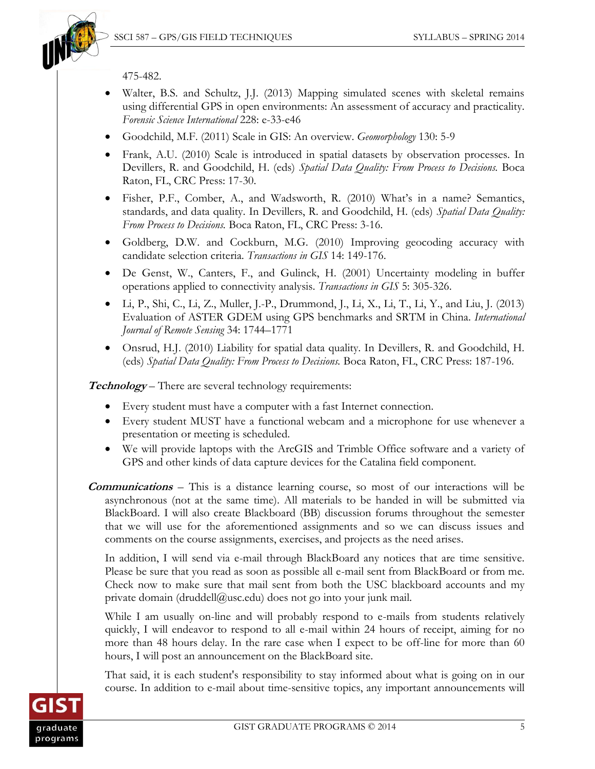

475-482.

- Walter, B.S. and Schultz, J.J. (2013) Mapping simulated scenes with skeletal remains using differential GPS in open environments: An assessment of accuracy and practicality. *Forensic Science International* 228: e-33-e46
- Goodchild, M.F. (2011) Scale in GIS: An overview. *Geomorphology* 130: 5-9
- Frank, A.U. [\(2010\) Scale is introduced in spatial datasets by observation processes. In](javascript:doAuthorSearch()  Devillers, R. and Goodchild, H. (eds) *[Spatial Data Quality: From Process to Decisions.](javascript:doAuthorSearch()* Boca [Raton, FL, CRC Press: 17-30.](javascript:doAuthorSearch()
- Fisher, P.F., Comber, A., and Wadsworth, R. [\(2010\) What's in a name? Semantics,](javascript:doAuthorSearch()  [standards, and data quality. In Devillers, R. and Goodchild, H. \(eds\)](javascript:doAuthorSearch() *Spatial Data Quality: From Process to Decisions.* [Boca Raton, FL, CRC Press: 3-16.](javascript:doAuthorSearch()
- Goldberg, D.W. and Cockburn, M.G. (2010) Improving geocoding accuracy with candidate selection criteria. *Transactions in GIS* 14: 149-176.
- De Genst, W., Canters, F., and Gulinck, H. (2001) Uncertainty modeling in buffer operations applied to connectivity analysis. *Transactions in GIS* 5: 305-326.
- Li, P., Shi, C., Li, Z., Muller, J.-P., Drummond, J., Li, X., Li, T., Li, Y., and Liu, J. (2013) Evaluation of ASTER GDEM using GPS benchmarks and SRTM in China. *International Journal of Remote Sensing* 34: 1744–1771
- Onsrud, H.J. [\(2010\) Liability for spatial data quality. In Devillers, R. and Goodchild, H.](javascript:doAuthorSearch()  (eds) *[Spatial Data Quality: From Process to Decisions.](javascript:doAuthorSearch()* Boca Raton, FL, CRC Press: 187-196.

**Technology** – There are several technology requirements:

- Every student must have a computer with a fast Internet connection.
- Every student MUST have a functional webcam and a microphone for use whenever a presentation or meeting is scheduled.
- We will provide laptops with the ArcGIS and Trimble Office software and a variety of GPS and other kinds of data capture devices for the Catalina field component.
- **Communications** This is a distance learning course, so most of our interactions will be asynchronous (not at the same time). All materials to be handed in will be submitted via BlackBoard. I will also create Blackboard (BB) discussion forums throughout the semester that we will use for the aforementioned assignments and so we can discuss issues and comments on the course assignments, exercises, and projects as the need arises.

In addition, I will send via e-mail through BlackBoard any notices that are time sensitive. Please be sure that you read as soon as possible all e-mail sent from BlackBoard or from me. Check now to make sure that mail sent from both the USC blackboard accounts and my private domain (druddell@usc.edu) does not go into your junk mail.

While I am usually on-line and will probably respond to e-mails from students relatively quickly, I will endeavor to respond to all e-mail within 24 hours of receipt, aiming for no more than 48 hours delay. In the rare case when I expect to be off-line for more than 60 hours, I will post an announcement on the BlackBoard site.

That said, it is each student's responsibility to stay informed about what is going on in our course. In addition to e-mail about time-sensitive topics, any important announcements will

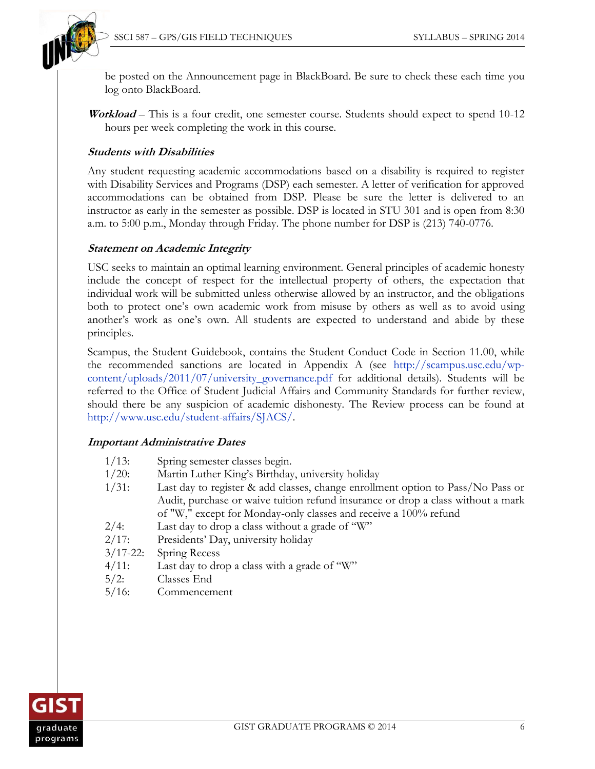

be posted on the Announcement page in BlackBoard. Be sure to check these each time you log onto BlackBoard.

**Workload** – This is a four credit, one semester course. Students should expect to spend 10-12 hours per week completing the work in this course.

### **Students with Disabilities**

Any student requesting academic accommodations based on a disability is required to register with Disability Services and Programs (DSP) each semester. A letter of verification for approved accommodations can be obtained from DSP. Please be sure the letter is delivered to an instructor as early in the semester as possible. DSP is located in STU 301 and is open from 8:30 a.m. to 5:00 p.m., Monday through Friday. The phone number for DSP is (213) 740-0776.

### **Statement on Academic Integrity**

USC seeks to maintain an optimal learning environment. General principles of academic honesty include the concept of respect for the intellectual property of others, the expectation that individual work will be submitted unless otherwise allowed by an instructor, and the obligations both to protect one's own academic work from misuse by others as well as to avoid using another's work as one's own. All students are expected to understand and abide by these principles.

Scampus, the Student Guidebook, contains the Student Conduct Code in Section 11.00, while the recommended sanctions are located in Appendix A (see [http://scampus.usc.edu/wp](http://scampus.usc.edu/wp-content/uploads/2011/07/university_governance.pdf)[content/uploads/2011/07/university\\_governance.pdf](http://scampus.usc.edu/wp-content/uploads/2011/07/university_governance.pdf) for additional details). Students will be referred to the Office of Student Judicial Affairs and Community Standards for further review, should there be any suspicion of academic dishonesty. The Review process can be found at [http://www.usc.edu/student-affairs/SJACS/.](http://www.usc.edu/student-affairs/SJACS/)

#### **Important Administrative Dates**

| $1/13$ :      | Spring semester classes begin.                                                   |
|---------------|----------------------------------------------------------------------------------|
| $1/20$ :      | Martin Luther King's Birthday, university holiday                                |
| $1/31$ :      | Last day to register & add classes, change enrollment option to Pass/No Pass or  |
|               | Audit, purchase or waive tuition refund insurance or drop a class without a mark |
|               | of "W," except for Monday-only classes and receive a 100% refund                 |
| $2/4$ :       | Last day to drop a class without a grade of "W"                                  |
| 2/17:         | Presidents' Day, university holiday                                              |
| $3/17 - 22$ : | Spring Recess                                                                    |
| $4/11$ :      | Last day to drop a class with a grade of "W"                                     |
| $5/2$ :       | Classes End                                                                      |
| $5/16$ :      | Commencement                                                                     |